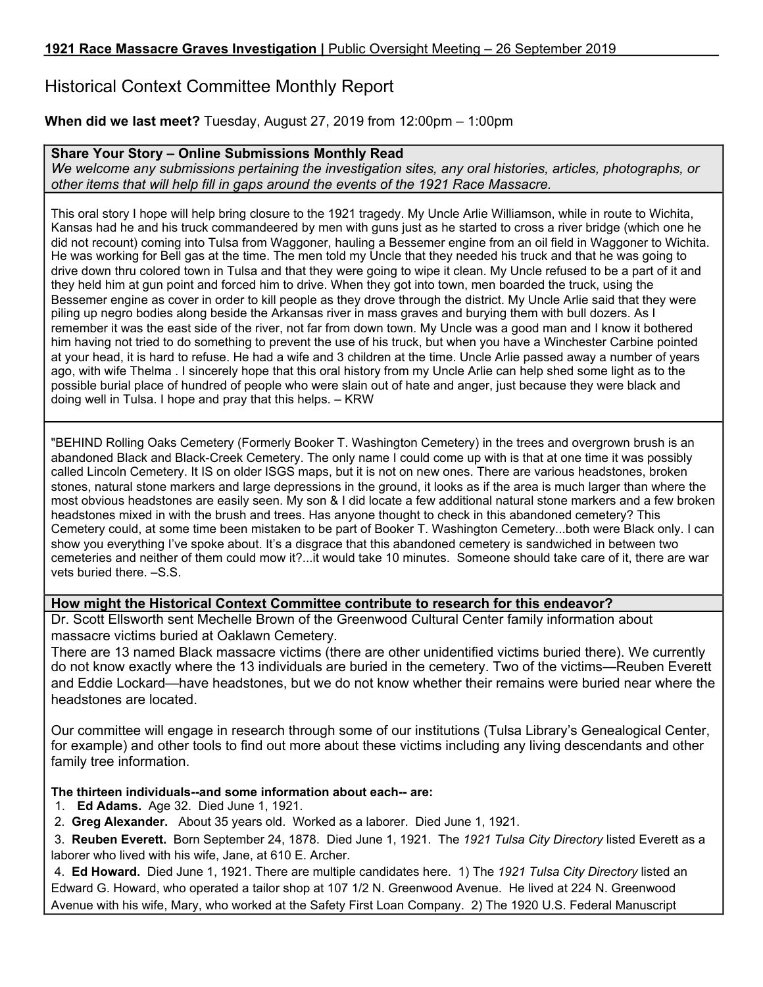# Historical Context Committee Monthly Report

## **When did we last meet?** Tuesday, August 27, 2019 from 12:00pm – 1:00pm

### **Share Your Story – Online Submissions Monthly Read**

*We welcome any submissions pertaining the investigation sites, any oral histories, articles, photographs, or other items that will help fill in gaps around the events of the 1921 Race Massacre.*

This oral story I hope will help bring closure to the 1921 tragedy. My Uncle Arlie Williamson, while in route to Wichita, Kansas had he and his truck commandeered by men with guns just as he started to cross a river bridge (which one he did not recount) coming into Tulsa from Waggoner, hauling a Bessemer engine from an oil field in Waggoner to Wichita. He was working for Bell gas at the time. The men told my Uncle that they needed his truck and that he was going to drive down thru colored town in Tulsa and that they were going to wipe it clean. My Uncle refused to be a part of it and they held him at gun point and forced him to drive. When they got into town, men boarded the truck, using the Bessemer engine as cover in order to kill people as they drove through the district. My Uncle Arlie said that they were piling up negro bodies along beside the Arkansas river in mass graves and burying them with bull dozers. As I remember it was the east side of the river, not far from down town. My Uncle was a good man and I know it bothered him having not tried to do something to prevent the use of his truck, but when you have a Winchester Carbine pointed at your head, it is hard to refuse. He had a wife and 3 children at the time. Uncle Arlie passed away a number of years ago, with wife Thelma . I sincerely hope that this oral history from my Uncle Arlie can help shed some light as to the possible burial place of hundred of people who were slain out of hate and anger, just because they were black and doing well in Tulsa. I hope and pray that this helps. – KRW

"BEHIND Rolling Oaks Cemetery (Formerly Booker T. Washington Cemetery) in the trees and overgrown brush is an abandoned Black and Black-Creek Cemetery. The only name I could come up with is that at one time it was possibly called Lincoln Cemetery. It IS on older ISGS maps, but it is not on new ones. There are various headstones, broken stones, natural stone markers and large depressions in the ground, it looks as if the area is much larger than where the most obvious headstones are easily seen. My son & I did locate a few additional natural stone markers and a few broken headstones mixed in with the brush and trees. Has anyone thought to check in this abandoned cemetery? This Cemetery could, at some time been mistaken to be part of Booker T. Washington Cemetery...both were Black only. I can show you everything I've spoke about. It's a disgrace that this abandoned cemetery is sandwiched in between two cemeteries and neither of them could mow it?...it would take 10 minutes. Someone should take care of it, there are war vets buried there. -S.S.

#### **How might the Historical Context Committee contribute to research for this endeavor?**

Dr. Scott Ellsworth sent Mechelle Brown of the Greenwood Cultural Center family information about massacre victims buried at Oaklawn Cemetery.

There are 13 named Black massacre victims (there are other unidentified victims buried there). We currently do not know exactly where the 13 individuals are buried in the cemetery. Two of the victims—Reuben Everett and Eddie Lockard—have headstones, but we do not know whether their remains were buried near where the headstones are located.

Our committee will engage in research through some of our institutions (Tulsa Library's Genealogical Center, for example) and other tools to find out more about these victims including any living descendants and other family tree information.

#### **The thirteen individuals--and some information about each-- are:**

- 1. **Ed Adams.** Age 32. Died June 1, 1921.
- 2. **Greg Alexander.** About 35 years old. Worked as a laborer. Died June 1, 1921.

3. **Reuben Everett.** Born September 24, 1878. Died June 1, 1921. The *1921 Tulsa City Directory* listed Everett as a laborer who lived with his wife, Jane, at 610 E. Archer.

4. **Ed Howard.** Died June 1, 1921. There are multiple candidates here. 1) The *1921 Tulsa City Directory* listed an Edward G. Howard, who operated a tailor shop at 107 1/2 N. Greenwood Avenue. He lived at 224 N. Greenwood Avenue with his wife, Mary, who worked at the Safety First Loan Company. 2) The 1920 U.S. Federal Manuscript